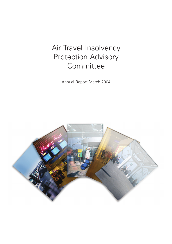## Air Travel Insolvency Protection Advisory **Committee**

Annual Report March 2004

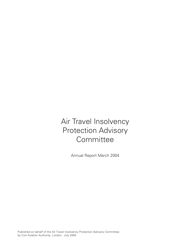# Air Travel Insolvency Protection Advisory **Committee**

Annual Report March 2004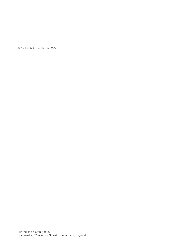© Civil Aviation Authority 2004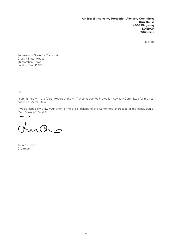**Air Travel Insolvency Protection Advisory Committee CAA House 45-59 Kingsway LONDON WC2B 6TE**

9 July 2004

Secretary of State for Transport Great Minster House 76 Marsham Street London SW1P 4DR

Sir

I submit herewith the fourth Report of the Air Travel Insolvency Protection Advisory Committee for the year ended 31 March 2004.

I would especially draw your attention to the criticisms of the Committee expressed at the conclusion of the Review of the Year.

ras

John Cox OBE Chairman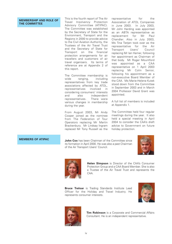### **MEMBERSHIP AND ROLE OF THE COMMITTEE**

This is the fourth report of The Air Travel Insolvency Protection Advisory Committee (ATIPAC). The Committee was established by the Secretary of State for the Environment, Transport and the Regions in 2000 to provide advice to the Civil Aviation Authority, the Trustees of the Air Travel Trust and the Secretary of State for Transport on the financial protection arrangements for air travellers and customers of air travel organisers. Its terms of reference are at Appendix 2 of this report.

The Committee membership is wide ranging, including representatives from key trade associations affected by ATOL, representatives involved in considering consumers' interests and also independent representatives. There were various changes in membership during the year.

From August 2003, Mr Andy Cooper joined as the nominee from The Federation of Tour Operators replacing Mr Martin Brackenbury. Mr Lindsay Ingram replaced Mr Tony Russell as the

representative for the Association of ATOL Companies in June 2003. In July 2003, Mr John Harding was appointed as an ABTA representative as replacement for Mr Paul Chandler. Also in July 2003, Ms Tina Tietjen took over as the representative for the Air Transport Users' Council replacing Mr Ian Hamer, following her appointment as Chairman of that body. Mr Roger Mountford was appointed as a CAA representative on 1 April 2003 replacing Mr Colin Senior, following his appointment as a non-executive Board Member of the CAA. Ms Marie-Helene Kutek stood down from the Committee in September 2003 and in March 2004 Professor David Grant was appointed.

A full list of members is included at Appendix 1.

The Committee held four regular meetings during the year. It also held a special meeting in April 2004 to consider the CAA's draft advice to Government on future holiday protection.

**MEMBERS OF ATIPAC John Cox** has been Chairman of the Committee since its formation in April 2000. He was also a past Chairman of the Air Transport Users' Council.





**Helen Simpson** is Director of the CAA's Consumer Protection Group and a CAA Board Member. She is also a Trustee of the Air Travel Trust and represents the CAA.

**Bruce Treloar** is Trading Standards Institute Lead Officer for the Holiday and Travel Industry. He represents consumer interests.





**Tim Robinson** is a Corporate and Commercial Affairs Consultant. He is an independent representative.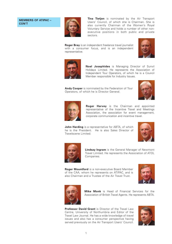### **MEMBERS OF ATIPAC – CON'T**



**Tina Tietjen** is nominated by the Air Transport Users' Council, of which she is Chairman. She is also currently Chairman of the Women's Royal Voluntary Service and holds a number of other nonexecutive positions in both public and private sectors.

**Roger Bray** is an independent freelance travel journalist with a consumer focus, and is an independent representative.





**Noel Josephides** is Managing Director of Sunvil Holidays Limited. He represents the Association of Independent Tour Operators, of which he is a Council Member responsible for Industry Issues.

**Andy Cooper** is nominated by the Federation of Tour Operators, of which he is Director General.





**Roger Harvey** is the Chairman and appointed representative of the Incentive Travel and Meetings Association, the association for event management, corporate communication and incentive travel.

**John Harding** is a representative for ABTA, of which he is the President. He is also Sales Director of Travelscene Limited.





**Lindsay Ingram** is the General Manager of Newmont Travel Limited. He represents the Association of ATOL Companies.

**Roger Mountford** is a non-executive Board Member of the CAA, whom he represents on ATIPAC, and is also Chairman and a Trustee of the Air Travel Trust.





**Mike Monk** is Head of Financial Services for the Association of British Travel Agents. He represents ABTA.

**Professor David Grant** is Director of the Travel Law Centre, University of Northumbria and Editor of the Travel Law Journal. He has a wide knowledge of travel issues and also has a consumer perspective having served previously on the Air Transport Users' Council.

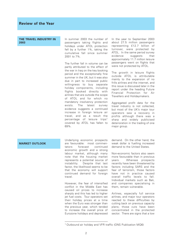**THE TRAVEL INDUSTRY IN 2003**

In summer 2003 the number of passengers taking flights and holidays under ATOL protection fell by a further 1%, taking the cumulative fall since summer 2001 to 7%.

The further fall in volume can be partly attributed to the effect of the war in Iraq on the key booking period and the exceptionally fine summer in the UK, but it was also due in part to increased public willingness to buy separate holiday components, including flights booked directly with airlines that are outside the scope of ATOL and for which no mandatory insolvency protection exists. The latest survey evidence suggests a continued increase in foreign leisure air travel, and as a result the percentage of leisure trips<sup>1</sup> covered by ATOL has fallen to 69%.

In the year to September 2003 about 27.5 million passengers representing £12.7 billion of turnover, were protected by ATOL. In the same period survey evidence suggests that approximately 11.7 million leisure passengers went on flights that were not protected by ATOL.

The growth in leisure flights outside ATOL is attributable mainly to the expansion of no frills airlines and the internet, and this issue is discussed later in the report under the heading Future Financial Protection for Air Travellers and Holidaymakers.

Aggregated profit data for the travel industry is not collected, but most of the UK's major tour operators saw a recovery in profits although there was a sharp and widely publicised deterioration in the trading of one major group.

### **MARKET OUTLOOK**

Underlying economic prospects are favourable: most commentators forecast continued economic growth and a strong labour market, although many note that the housing market represents a potential source of instability. Despite that last factor, the likelihood seems to be that the economy will support continued demand for foreign travel.

However, the fear of intensified conflict in the Middle East has caused oil prices to increase sharply and this has led to higher jet fuel costs. Tour operators set their holiday prices at a time when the Euro was stronger than the previous year, which tended to increase the overall price of Eurozone holidays and depressed

demand. On the other hand, the weak dollar is fuelling increased demand to the United States.

Non-economic factors also seem more favourable than in previous years. Whereas prospects recently have been threatened by factors including SARS and the fear of terrorism, those factors have not in practice caused overall traffic levels to fall. Individual markets such as Bali, and companies specialising in them, remain vulnerable.

Airlines, especially full service airlines, and major tour operators reacted to these difficulties by cutting back on previous capacity plans; those cuts have been concentrated in the protected sector. There are signs that a low

<sup>1</sup> Outbound air holiday and VFR traffic (ONS Publication MQ6)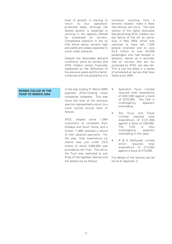level of growth is starting to return to tour operators' protected sales, although the fastest growth is expected to continue in the capacity offered by scheduled air carriers. Competitive pressure in the no frills airline sector remains high and yields are widely expected to come under pressure.

Despite the favourable demand conditions, some air carriers and ATOL holders remain financially weakened by the difficulties of the previous years and this factor, combined with the possibility of a

turndown resulting from terrorist incident, make it likely that failures will occur. The next section of this report discusses failures among ATOL holders, but the failure of the UK air carrier Duo, in May 2004, which was reported to have left 1,200 people stranded and to owe £4.5 million to over 50,000 passengers who had booked in advance, serves as a reminder that air carriers that are not protected by ATOL can also fail. This is just the latest in a series of scheduled air carriers that have failed since 2001.

### **BONDS CALLED IN THE YEAR TO MARCH 2004**

In the year ending 31 March 2004 eighteen ATOL-holding travel companies collapsed. This was twice the level of the previous year but represented a return to a more normal annual level of failures.

ATOL helped some 1,984 customers to complete their holidays and return home, and a further 11,880 received a refund of their advance payments. For the year, total expenditure on claims was just under £3.8 million of which £285,000 was provided by the Trust. The call on the Trust was restricted to just three of the eighteen failures and the details are as follows:

- Specialist Tours Limited required total expenditure of £457,000 against a bond of £270,000. The CAA is investigating apparent overtrading.
- Sky Tours and Travel Limited required total expenditure of £121,000 against a bond of £26,000. The CAA is also investigating apparent overtrading in this case.
- R & K McDowell Limited which required total expenditure of £13,000 against a bond of £10,000.

Full details of the failures can be found at Appendix 3.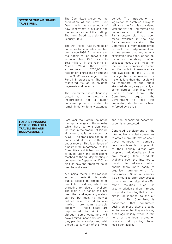### **STATE OF THE AIR TRAVEL TRUST FUND**

The Committee welcomed the production of the new Trust Deed, which takes account of new insolvency provisions and modernises some of the drafting. The new Deed was signed in January 2004.

The Air Travel Trust Fund itself continues to be in deficit and has been since 1996. At the year end the deficit carried forward had increased from £9.1 million to £9.6 million. In the year to 31 March 2004 there was expenditure of £206,000 in respect of failures and an amount of £409,000 was charged to the Fund in interest costs. The Fund recovered £63,000 in dividend payments and receipts.

The Committee has continuously stated that in its view it is inappropriate for a major consumer protection system to remain in deficit for any extended

period. The introduction of legislation to establish a levy to refinance the Fund is considered vital and yet the Committee now understands that no Parliamentary slot has been made available in the next Parliamentary session. The Committee is very disappointed by this further postponement and is not aware that any rational explanation has been, or can be, made for the delay. When collapses occur, the impact on the firm's customers is instant, and if enough liquid resources are not available to the CAA to manage the consequences of a major failure then the result will be members of the public stranded abroad, very probably in some distress, with insufficient funds to assist them. The Committee urges the Government to take this preparatory step before its hand is forced by a crisis.

**FUTURE FINANCIAL PROTECTION FOR AIR TRAVELLERS AND HOLIDAYMAKERS**

Last year the Committee noted the rapid changes in the industry which have led to a significant increase in the amount of leisure air travel that is unprotected by ATOL. The trend has continued and indeed intensified in the year under report. This is an issue of fundamental importance to this Committee and it has continued to build upon the conclusions reached at the full day meeting it convened in September 2002 to discuss how the problems could best be addressed.

A principal factor in the reduced scope of protection is easier public access to cheap fares direct from airlines, which are attractive to leisure travellers. The main drive behind this has been the rapidly-growing no-frills carriers, but many full service airlines have reacted by also making more seats available cheaply. These seats are unprotected by ATOL, so although some customers will have limited insolvency cover if they pay the air carrier direct with a credit card, much of this flying and the associated accommodation is unprotected.

Continued development of the Internet has enabled consumers to obtain more information about travel components, compare prices and book the components of their holiday direct with suppliers. Additionally, suppliers are making their products available over the Internet to travel intermediaries, which enable them more easily to organise arrangements for consumers. Some air carriers' web sites also offer easy access to separate web sites that offer other facilities such as accommodation and car hire and use product branding that is often similar or identical to the air carrier. The Committee is concerned that consumers buying on these sites are being led to believe that they are buying a package holiday, when in fact none of the legal protection available under package travel legislation applies.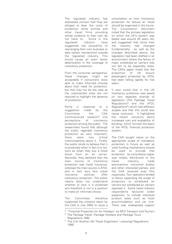The regulated industry has expressed concern that they are obliged to bear the costs of protection while airlines and other travel firms providing similar products to their own do not have to. Some in the regulated industry have suggested the possibility of rearranging their own business to take certain transactions outside the regulated industry. This would cause an even faster deterioration in the coverage of insolvency protection.

From the consumer perspective, these changes might be acceptable if consumers were able to make informed choices about their need for protection, but that may not be the case as the unprotected sites are not required to highlight the absence of protection.

Partly in response to a suggestion made by the Committee, the CAA commissioned research<sup>2</sup> into perceptions of insolvency protection among the public. The researchers found that although the public regarded insolvency protection as very important, there were two critical misconceptions about it. Firstly, the public tends to believe that it is protected when in fact it is not, such as when they buy a ticket direct from an air carrier. Secondly, they believed that the main source of insolvency protection was travel insurance, whereas the main source is ATOL and in fact very few travel insurance policies offer insolvency protection. The public clearly does not understand whether or how it is protected and therefore is not in a position to make an informed choice.

The Committee therefore supported the initiative taken by the CAA in July 2003 to issue a

consultation on how insolvency protection for leisure air travel should be organised in the future. The Consultation document noted that the primary legislation on which the UK's system was based was around 35 years old, and suggested that since then the industry had changed fundamentally: as well as the changes described above, the legislation had been drafted in an environment where the failure of major scheduled air carriers was not felt to be especially likely. The CAA's paper noted that the proportion of UK leisure passengers protected by ATOL had been falling rapidly for five years.

It also noted that in the UK insolvency protection was based on two separate strands of legislation (The Package Travel Regulations3 and the ATOL Regulations<sup>4</sup>) which had different scopes and that this could also cause confusion. It highlighted the recent concerns about increased cost and availability of bonding, which formed the basis of the ATOL financial protection system.

The CAA sought views on the appropriate scope of mandatory protection in future as well as what funding mechanisms should be used to provide that protection. Its consultation paper was widely distributed to the travel industry, trade associations, consumer bodies and other interested parties, and the CAA received over fifty responses. Tour operators tended to favour expanding the scope of protection to scheduled air carriers but scheduled air carriers opposed it. Some travel industry respondents favoured wider expansion, to include individual product sales such as hotel accommodation and car hire. There was widespread support

<sup>3</sup> The Package Travel, Package Holidays and Package Tours Regulations 1992

<sup>&</sup>lt;sup>2</sup> "Financial Protection for Air Holidays" by NFO Transport and Tourism

<sup>4</sup> The Civil Aviation (Air Travel Organisers' Licensing) Regulations 1995.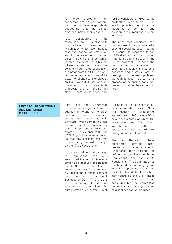for wider protection from consumer groups and others, with only a few respondents suggesting that the caveat emptor principle should apply.

After considering all the responses, the CAA published its draft advice to Government in March 2004, which recommended that the scope of protection should be extended to cover sales made by airlines which involve payment in advance, where the sale was made in the UK and where the outbound flight originated from the UK. The CAA recommended that it would be better for change to take place at an EU level but if that was not possible in an acceptable timescale the UK should act alone. There would need to be

further consideration given to the protection mechanism which would possibly be a mutual insurance or common fund solution, again requiring primary legislation.

The Committee considered this matter carefully and convened a second special purpose meeting to discuss its response to the CAA's draft advice. It concluded that it strongly supports the CAA's proposal. It sees the proposal for an extension of cover to scheduled airlines as a coherent and practical way of dealing with the main problem, although it sees it as part of a process of extending consumer protection, rather than an end in itself.

### **NEW ATOL REGULATIONS AND SIMPLIFIED PROCEDURES**

Last year the Committee reported on progress towards addressing the anomaly whereby certain flight inclusive arrangements, known as 'split contracts', were sometimes sold by travel agents in such a way that full protection was not offered. In October 2003 the ATOL Regulations were amended so that any package sale that included a flight would be caught by the ATOL Regulations.

At the same time as the change in Regulations, the CAA announced the introduction of a simplified procedure for obtaining an ATOL where the licence authorisation was for fewer than 500 passengers; these licences are now known as Small Business ATOLs. The CAA is also continuing to develop arrangements that allow the administration of certain Small

Business ATOLs to be carried out by appointed third parties. Since the change in Regulations approximately 200 new ATOLs have been granted of which 100 are Small Business ATOLs. There will be a further influx of applications once the third party arrangements are finalised.

The new Regulations have highlighted differing interpretations in the industry as to what constitutes a "package", as defined in the Package Travel Regulations and the ATOL Regulations. The Committee has established a working group including representatives of the CAA, ABTA and AITO, which is also consulting the DTI. These discussions are not yet concluded but the Committee hopes that an unambiguous set of guidelines can be produced.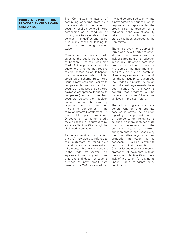### **INSOLVENCY PROTECTION PROVIDED BY CREDIT CARD COMPANIES**

The Committee is aware of continuing concerns from tour operators about the level of security required by credit card companies as a condition of making facilities available. They consider it unjustified and regard it in many cases as leading to their turnover being bonded twice.

Companies that issue credit cards to the public are required by Section 75 of the Consumer Credit Act to provide refunds to customers who do not receive their purchases, as would happen if a tour operator failed. Under credit card scheme rules, card issuers may pass the liability to companies (known as merchant acquirers) that issue credit card payment acceptance facilities to companies (merchants). Merchant acquirers protect their position against Section 75 claims by requiring security from their merchants, sometimes in the form of deferred settlement. A proposed European Commission Directive on consumer credit may, if passed in its current form, eliminate Section 75 although the likelihood is unknown.

As well as credit card companies. the CAA may also pay refunds to the customers of failed tour operators and an agreement on who meets which claim is set out in the Credit Card Charter. This agreement was signed some time ago and does not cover a number of new credit card issuers. The CAA has stated that

it would be prepared to enter into a new agreement but this would require an acceptance by the credit card companies of a reduction in the level of security taken from ATOL holders. This stance has been endorsed by the Committee.

There has been no progress in terms of a new Charter to cover all credit card issuers due to a lack of agreement on a reduction in security. However there have been constructive discussions with some of the major merchant acquirers to try to establish bilateral agreements that would, for those acquirers, supersede the Credit Card Charter. Although no individual agreements have been signed yet the CAA is hopeful that progress will be made and a successful outcome achieved in the near future.

The lack of progress on a more general Charter is unfortunate because it leaves the situation regarding the appropriate source of compensation following a collapse in a more confused state than is necessary, and the confusing state of current arrangements is one reason why the Committee regards a new protection framework as so necessary. It is also relevant to point out that resolution of Charter issues would not resolve protection of payments outside the scope of Section 75 such as a lack of protection for payments under £100, or to agents, or by debit cards.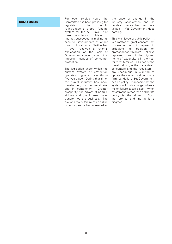### **CONCLUSION**

For over twelve years the Committee has been pressing for legislation that would re-introduce a proper funding system for the Air Travel Trust based on a levy on holidays. It has not succeeded in making its case to Governments of either major political party. Neither has it ever received a rational explanation of the lack of Government concern about this important aspect of consumer protection.

The legislation under which the current system of protection operates originated over thirtyfive years ago. During that time, the travel industry has been transformed, both in overall size and in complexity. Greater prosperity, the advent of no-frills airlines and the Internet have transformed the business. The risk of a major failure of an airline or tour operator has increased as

the pace of change in the industry accelerates and as holiday choices become more volatile. Yet Government does nothing.

This is an issue of public policy. It is a matter of great concern that Government is not prepared to articulate its position on protection for travellers. Holidays represent one of the biggest items of expenditure in the year for most families. All sides of the travel industry – the trade itself, consumers and the regulators – are unanimous in wanting to update the system and put it on a firm foundation. But Government has no policy. It appears that the system will only change when a major failure takes place – when catastrophe rather than deliberate policy is the driver. Such indifference and inertia is a disgrace.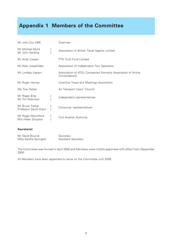## **Appendix 1 Members of the Committee**

| Mr John Cox OBE                           |   | Chairman                                                                         |
|-------------------------------------------|---|----------------------------------------------------------------------------------|
| Mr Michael Monk<br>Mr John Harding        |   | Association of British Travel Agents Limited                                     |
| Mr Andy Cooper                            |   | <b>FTO Trust Fund Limited</b>                                                    |
| Mr Noel Josephides                        |   | Association of Independent Tour Operators                                        |
| Mr Lindsay Ingram                         |   | Association of ATOL Companies (formerly Association of Airline<br>Consolidators) |
| Mr Roger Harvey                           |   | Incentive Travel and Meetings Association                                        |
| Ms Tina Tietjen                           |   | Air Transport Users' Council                                                     |
| Mr Roger Bray<br>Mr Tim Robinson          |   | Independent representatives                                                      |
| Mr Bruce Treloar<br>Professor David Grant |   | Consumer representatives                                                         |
| Mr Roger Mountford<br>Mrs Helen Simpson   | ł | Civil Aviation Authority                                                         |
|                                           |   |                                                                                  |

### **Secretariat**

| Mr David Bourne       | Secretary                  |
|-----------------------|----------------------------|
| Miss Sandra Springett | <b>Assistant Secretary</b> |

The Committee was formed in April 2000 and Members were initially appointed with effect from September 2000.

All Members have been appointed to serve on the Committee until 2006.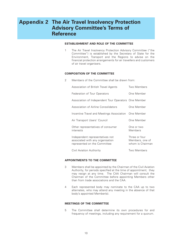### **Appendix 2 The Air Travel Insolvency Protection Advisory Committee's Terms of Reference**

### **ESTABLISHMENT AND ROLE OF THE COMMITTEE**

1 The Air Travel Insolvency Protection Advisory Committee ("the Committee") is established by the Secretary of State for the Environment, Transport and the Regions to advise on the financial protection arrangements for air travellers and customers of air travel organisers.

### **COMPOSITION OF THE COMMITTEE**

2 Members of the Committee shall be drawn from:

| Association of British Travel Agents                                                                | <b>Two Members</b>                                   |
|-----------------------------------------------------------------------------------------------------|------------------------------------------------------|
| Federation of Tour Operators                                                                        | One Member                                           |
| Association of Independent Tour Operators One Member                                                |                                                      |
| Association of Airline Consolidators                                                                | One Member                                           |
| Incentive Travel and Meetings Association                                                           | One Member                                           |
| Air Transport Users' Council                                                                        | One Member                                           |
| Other representatives of consumer<br>interests                                                      | One or two<br>Members                                |
| Independent representatives not<br>associated with any organisation<br>represented on the Committee | Three or four<br>Members, one of<br>whom is Chairman |
| Civil Aviation Authority                                                                            | Two Members                                          |

### **APPOINTMENTS TO THE COMMITTEE**

- 3 Members shall be appointed by the Chairman of the Civil Aviation Authority, for periods specified at the time of appointment; they may resign at any time. The CAA Chairman will consult the Chairman of the Committee before appointing Members other than from trade associations and the CAA.
- 4 Each represented body may nominate to the CAA up to two alternates, who may attend any meeting in the absence of that body's appointed Member(s).

#### **MEETINGS OF THE COMMITTEE**

5 The Committee shall determine its own procedures for and frequency of meetings, including any requirement for a quorum.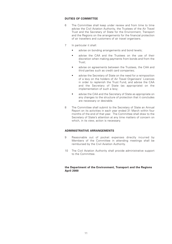### **DUTIES OF COMMITTEE**

- 6 The Committee shall keep under review and from time to time advise the Civil Aviation Authority, the Trustees of the Air Travel Trust and the Secretary of State for the Environment, Transport and the Regions on the arrangements for the financial protection of air travellers and customers of air travel organisers.
- 7 In particular it shall:
	- advise on bonding arrangements and bond levels;
	- advise the CAA and the Trustees on the use of their discretion when making payments from bonds and from the Trust;
	- advise on agreements between the Trustees, the CAA and third parties such as credit card companies;
	- advise the Secretary of State on the need for a reimposition of a levy on the holders of Air Travel Organisers' Licences in order to replenish the Trust Fund, and advise the CAA and the Secretary of State (as appropriate) on the implementation of such a levy;
	- advise the CAA and the Secretary of State as appropriate on any changes to the structure of protection that it concludes are necessary or desirable.
- 8 The Committee shall submit to the Secretary of State an Annual Report on its activities in each year ended 31 March within four months of the end of that year. The Committee shall draw to the Secretary of State's attention at any time matters of concern on which, in its view, action is necessary.

### **ADMINISTRATIVE ARRANGEMENTS**

- 9 Reasonable out of pocket expenses directly incurred by Members of the Committee in attending meetings shall be reimbursed by the Civil Aviation Authority.
- 10 The Civil Aviation Authority shall provide administrative support to the Committee.

### **the Department of the Environment, Transport and the Regions April 2000**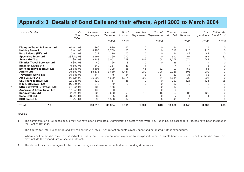### **Appendix 3 Details of Bond Calls and their effects, April 2003 to March 2004**

| Licence Holder                          | Date<br>Bond<br>Called | Licensed<br>Passengers | Licensed<br>Revenue | Bond<br>Amount | Number | Cost of<br>Repatriated Repatriation Refunded | Number | Cost of<br>Refunds | Total<br>Expenditure | Call on Air<br>Travel Trust |
|-----------------------------------------|------------------------|------------------------|---------------------|----------------|--------|----------------------------------------------|--------|--------------------|----------------------|-----------------------------|
|                                         |                        |                        | £'000               | £'000          |        | £'000                                        |        | £'000              | £'000                | £'000                       |
| <b>Dialogue Travel &amp; Events Ltd</b> | 01 Apr 03              | 360                    | 530                 | 66             |        | N                                            | 44     | 24                 | 24                   |                             |
| <b>Holiday Focus Ltd</b>                | 11 Apr 03              | 4,250                  | 2,709               | 406            |        |                                              | 315    | 216                | 216                  |                             |
| <b>Pure Leisure (UK) Ltd</b>            | 15 Apr 03              | 612                    | 370                 | 70             |        |                                              | 144    | 42                 | 42                   |                             |
| <b>Specialist Tours Ltd</b>             | 23 May 03              | 2,197                  | 1,360               | 270            |        |                                              | 910    | 457                | 457                  | 187                         |
| <b>Select Golf Ltd</b>                  | 11 Sep 03              | 9,788                  | 5,052               | 758            | 104    | 68                                           | 1.768  | 574                | 642                  | $\Omega$                    |
| <b>Kinetics Travel Services Ltd</b>     | 15 Sep 03              | 40                     | 66                  | 18             |        | $\Omega$                                     | 25     |                    | 4                    |                             |
| <b>Brazilian Magic Ltd</b>              | 16 Sep 03              | 840                    | 1,231               | 123            |        |                                              |        |                    | 8                    |                             |
| <b>Extra Holidays &amp; Travel Ltd</b>  | 22 Sep 03              | 3,596                  | 1,328               | 186            | 45     | 32                                           | 100    | 53                 | 85                   |                             |
| <b>Airline Ltd</b>                      | 26 Sep 03              | 55,535                 | 13,689              | 1,461          | 1,000  | 306                                          | 2,226  | 603                | 909                  |                             |
| <b>Travellers World Ltd</b>             | 30 Sep 03              | 144                    | 175                 | 84             | 18     | 31                                           | 33     | 31                 | 63                   |                             |
| <b>Axis Leisure Ltd</b>                 | 08 Oct 03              | 25,298                 | 4,680               | 1,314          | 800    | 164                                          | 5,844  | 830                | 994                  |                             |
| <b>Sky Tours &amp; Travel Ltd</b>       | 02 Dec 03              | 120                    | 51                  | 26             |        | $\Omega$                                     | 280    | 121                | 121                  | 95                          |
| <b>R &amp; K McDowell Ltd</b>           | 16 Dec 03              | 248                    | 70                  | 10             |        |                                              | 36     | 13                 | 13                   | 3                           |
| <b>SRG Skytravel (Croydon) Ltd</b>      | 02 Feb 04              | 488                    | 156                 | 19             |        |                                              | 16     |                    | 9                    |                             |
| <b>American &amp; Latin Travel Ltd</b>  | 17 Feb 04              | 135                    | 68                  | 10             |        |                                              | 0      |                    |                      |                             |
| <b>Bonaventure Ltd</b>                  | 22 Mar 04              | 1.702                  | 1,528               | 153            | 16     | 15                                           | 88     | 85                 | 100                  |                             |
| <b>Coco Golf Ltd</b>                    | 26 Mar 04              | 867                    | 705                 | 141            |        |                                              | 2      |                    |                      |                             |
| <b>ROC Lines Ltd</b>                    | 31 Mar 04              | 1,990                  | 1,586               | 397            | 0      | 0                                            | 45     | 76                 | 76                   | 0                           |
| 18<br>Total                             |                        | 108,210                | 35,354              | 5,511          | 1,984  | 618                                          | 11,880 | 3,146              | 3,763                | 285                         |

### **NOTES**

- 1 The administration of all cases above may not have been completed. Administration costs which were incurred in paying passengers' refunds have been included in the Cost of Refunds.
- 2The figures for Total Expenditure and any call on the Air Travel Trust reflect amounts already spent and estimated further expenditure.
- 3 Where a call on the Air Travel Trust is indicated, this is the difference between expected total expenditure and available bond monies. The call on the Air Travel Trust may include the expenditure of accrued interest.
- 4The above totals may not agree to the sum of the figures shown in the table due to rounding differences.